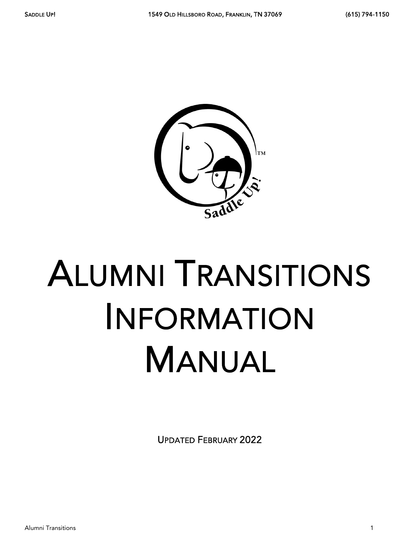

# ALUMNI TRANSITIONS INFORMATION MANUAL

UPDATED FEBRUARY 2022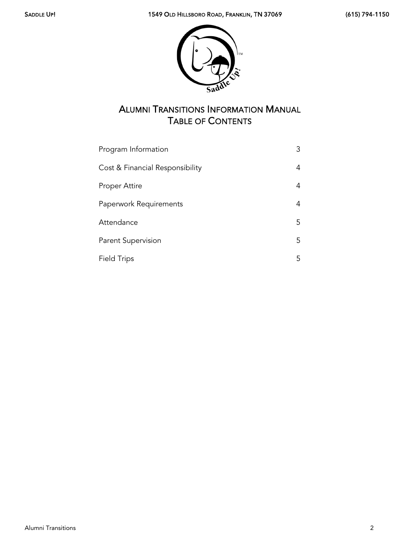

## ALUMNI TRANSITIONS INFORMATION MANUAL TABLE OF CONTENTS

| Program Information             | 3  |
|---------------------------------|----|
| Cost & Financial Responsibility | 4  |
| Proper Attire                   | 4  |
| Paperwork Requirements          | 4  |
| Attendance                      | 5. |
| Parent Supervision              | 5  |
| <b>Field Trips</b>              | 5  |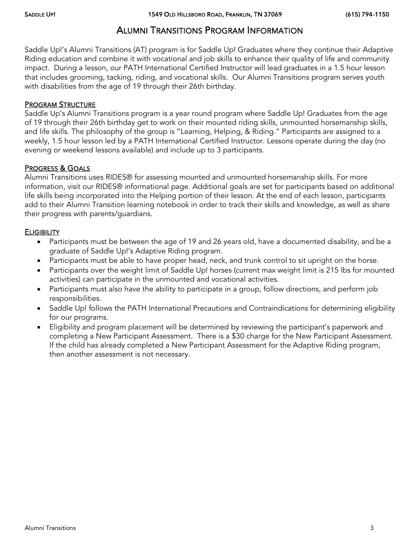### ALUMNI TRANSITIONS PROGRAM INFORMATION

Saddle Up!'s Alumni Transitions (AT) program is for Saddle Up! Graduates where they continue their Adaptive Riding education and combine it with vocational and job skills to enhance their quality of life and community impact. During a lesson, our PATH International Certified Instructor will lead graduates in a 1.5 hour lesson that includes grooming, tacking, riding, and vocational skills. Our Alumni Transitions program serves youth with disabilities from the age of 19 through their 26th birthday.

#### PROGRAM STRUCTURE

Saddle Up's Alumni Transitions program is a year round program where Saddle Up! Graduates from the age of 19 through their 26th birthday get to work on their mounted riding skills, unmounted horsemanship skills, and life skills. The philosophy of the group is "Learning, Helping, & Riding." Participants are assigned to a weekly, 1.5 hour lesson led by a PATH International Certified Instructor. Lessons operate during the day (no evening or weekend lessons available) and include up to 3 participants.

#### PROGRESS & GOALS

Alumni Transitions uses RIDES® for assessing mounted and unmounted horsemanship skills. For more information, visit our RIDES® informational page. Additional goals are set for participants based on additional life skills being incorporated into the Helping portion of their lesson. At the end of each lesson, participants add to their Alumni Transition learning notebook in order to track their skills and knowledge, as well as share their progress with parents/guardians.

#### **ELIGIBILITY**

- Participants must be between the age of 19 and 26 years old, have a documented disability, and be a graduate of Saddle Up!'s Adaptive Riding program.
- Participants must be able to have proper head, neck, and trunk control to sit upright on the horse.
- Participants over the weight limit of Saddle Up! horses (current max weight limit is 215 lbs for mounted activities) can participate in the unmounted and vocational activities.
- Participants must also have the ability to participate in a group, follow directions, and perform job responsibilities.
- Saddle Up! follows the PATH International Precautions and Contraindications for determining eligibility for our programs.
- Eligibility and program placement will be determined by reviewing the participant's paperwork and completing a New Participant Assessment. There is a \$30 charge for the New Participant Assessment. If the child has already completed a New Participant Assessment for the Adaptive Riding program, then another assessment is not necessary.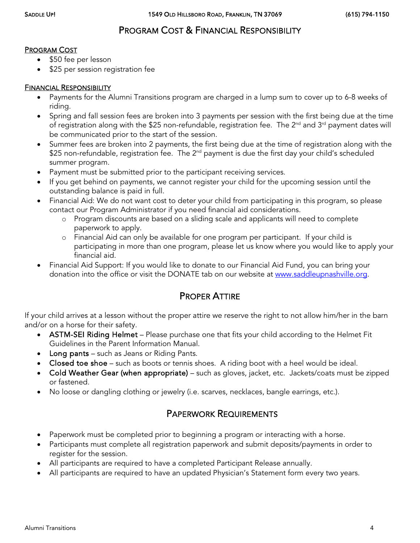## PROGRAM COST & FINANCIAL RESPONSIBILITY

#### PROGRAM COST

- \$50 fee per lesson
- \$25 per session registration fee

#### FINANCIAL RESPONSIBILITY

- Payments for the Alumni Transitions program are charged in a lump sum to cover up to 6-8 weeks of riding.
- Spring and fall session fees are broken into 3 payments per session with the first being due at the time of registration along with the \$25 non-refundable, registration fee. The  $2^{nd}$  and  $3^{rd}$  payment dates will be communicated prior to the start of the session.
- Summer fees are broken into 2 payments, the first being due at the time of registration along with the \$25 non-refundable, registration fee. The 2<sup>nd</sup> payment is due the first day your child's scheduled summer program.
- Payment must be submitted prior to the participant receiving services.
- If you get behind on payments, we cannot register your child for the upcoming session until the outstanding balance is paid in full.
- Financial Aid: We do not want cost to deter your child from participating in this program, so please contact our Program Administrator if you need financial aid considerations.
	- o Program discounts are based on a sliding scale and applicants will need to complete paperwork to apply.
	- o Financial Aid can only be available for one program per participant. If your child is participating in more than one program, please let us know where you would like to apply your financial aid.
- Financial Aid Support: If you would like to donate to our Financial Aid Fund, you can bring your donation into the office or visit the DONATE tab on our website at [www.saddleupnashville.org.](http://www.saddleupnashville.org/)

## PROPER ATTIRE

If your child arrives at a lesson without the proper attire we reserve the right to not allow him/her in the barn and/or on a horse for their safety.

- ASTM-SEI Riding Helmet Please purchase one that fits your child according to the Helmet Fit Guidelines in the Parent Information Manual.
- Long pants such as Jeans or Riding Pants.
- Closed toe shoe such as boots or tennis shoes. A riding boot with a heel would be ideal.
- Cold Weather Gear (when appropriate) such as gloves, jacket, etc. Jackets/coats must be zipped or fastened.
- No loose or dangling clothing or jewelry (i.e. scarves, necklaces, bangle earrings, etc.).

## PAPERWORK REQUIREMENTS

- Paperwork must be completed prior to beginning a program or interacting with a horse.
- Participants must complete all registration paperwork and submit deposits/payments in order to register for the session.
- All participants are required to have a completed Participant Release annually.
- All participants are required to have an updated Physician's Statement form every two years.